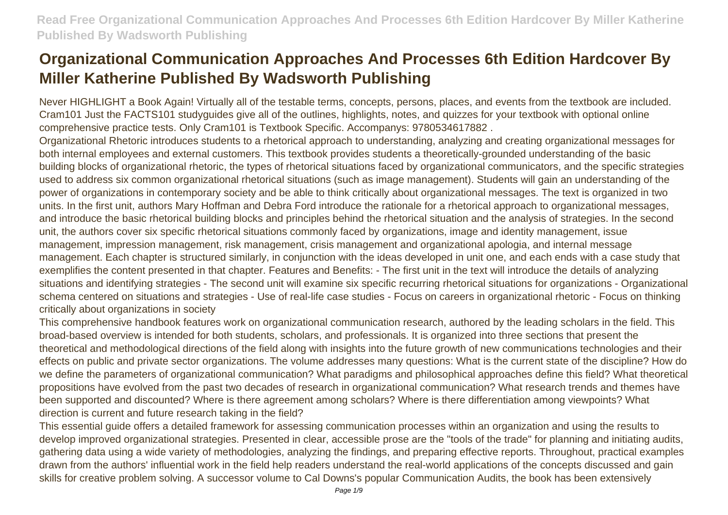Never HIGHLIGHT a Book Again! Virtually all of the testable terms, concepts, persons, places, and events from the textbook are included. Cram101 Just the FACTS101 studyguides give all of the outlines, highlights, notes, and quizzes for your textbook with optional online comprehensive practice tests. Only Cram101 is Textbook Specific. Accompanys: 9780534617882 .

Organizational Rhetoric introduces students to a rhetorical approach to understanding, analyzing and creating organizational messages for both internal employees and external customers. This textbook provides students a theoretically-grounded understanding of the basic building blocks of organizational rhetoric, the types of rhetorical situations faced by organizational communicators, and the specific strategies used to address six common organizational rhetorical situations (such as image management). Students will gain an understanding of the power of organizations in contemporary society and be able to think critically about organizational messages. The text is organized in two units. In the first unit, authors Mary Hoffman and Debra Ford introduce the rationale for a rhetorical approach to organizational messages, and introduce the basic rhetorical building blocks and principles behind the rhetorical situation and the analysis of strategies. In the second unit, the authors cover six specific rhetorical situations commonly faced by organizations, image and identity management, issue management, impression management, risk management, crisis management and organizational apologia, and internal message management. Each chapter is structured similarly, in conjunction with the ideas developed in unit one, and each ends with a case study that exemplifies the content presented in that chapter. Features and Benefits: - The first unit in the text will introduce the details of analyzing situations and identifying strategies - The second unit will examine six specific recurring rhetorical situations for organizations - Organizational schema centered on situations and strategies - Use of real-life case studies - Focus on careers in organizational rhetoric - Focus on thinking critically about organizations in society

This comprehensive handbook features work on organizational communication research, authored by the leading scholars in the field. This broad-based overview is intended for both students, scholars, and professionals. It is organized into three sections that present the theoretical and methodological directions of the field along with insights into the future growth of new communications technologies and their effects on public and private sector organizations. The volume addresses many questions: What is the current state of the discipline? How do we define the parameters of organizational communication? What paradigms and philosophical approaches define this field? What theoretical propositions have evolved from the past two decades of research in organizational communication? What research trends and themes have been supported and discounted? Where is there agreement among scholars? Where is there differentiation among viewpoints? What direction is current and future research taking in the field?

This essential guide offers a detailed framework for assessing communication processes within an organization and using the results to develop improved organizational strategies. Presented in clear, accessible prose are the "tools of the trade" for planning and initiating audits, gathering data using a wide variety of methodologies, analyzing the findings, and preparing effective reports. Throughout, practical examples drawn from the authors' influential work in the field help readers understand the real-world applications of the concepts discussed and gain skills for creative problem solving. A successor volume to Cal Downs's popular Communication Audits, the book has been extensively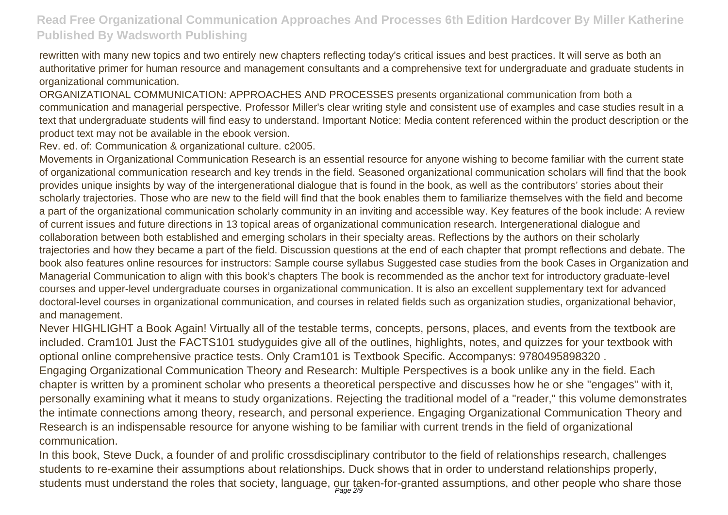rewritten with many new topics and two entirely new chapters reflecting today's critical issues and best practices. It will serve as both an authoritative primer for human resource and management consultants and a comprehensive text for undergraduate and graduate students in organizational communication.

ORGANIZATIONAL COMMUNICATION: APPROACHES AND PROCESSES presents organizational communication from both a communication and managerial perspective. Professor Miller's clear writing style and consistent use of examples and case studies result in a text that undergraduate students will find easy to understand. Important Notice: Media content referenced within the product description or the product text may not be available in the ebook version.

Rev. ed. of: Communication & organizational culture. c2005.

Movements in Organizational Communication Research is an essential resource for anyone wishing to become familiar with the current state of organizational communication research and key trends in the field. Seasoned organizational communication scholars will find that the book provides unique insights by way of the intergenerational dialogue that is found in the book, as well as the contributors' stories about their scholarly trajectories. Those who are new to the field will find that the book enables them to familiarize themselves with the field and become a part of the organizational communication scholarly community in an inviting and accessible way. Key features of the book include: A review of current issues and future directions in 13 topical areas of organizational communication research. Intergenerational dialogue and collaboration between both established and emerging scholars in their specialty areas. Reflections by the authors on their scholarly trajectories and how they became a part of the field. Discussion questions at the end of each chapter that prompt reflections and debate. The book also features online resources for instructors: Sample course syllabus Suggested case studies from the book Cases in Organization and Managerial Communication to align with this book's chapters The book is recommended as the anchor text for introductory graduate-level courses and upper-level undergraduate courses in organizational communication. It is also an excellent supplementary text for advanced doctoral-level courses in organizational communication, and courses in related fields such as organization studies, organizational behavior, and management.

Never HIGHLIGHT a Book Again! Virtually all of the testable terms, concepts, persons, places, and events from the textbook are included. Cram101 Just the FACTS101 studyguides give all of the outlines, highlights, notes, and quizzes for your textbook with optional online comprehensive practice tests. Only Cram101 is Textbook Specific. Accompanys: 9780495898320 .

Engaging Organizational Communication Theory and Research: Multiple Perspectives is a book unlike any in the field. Each chapter is written by a prominent scholar who presents a theoretical perspective and discusses how he or she "engages" with it, personally examining what it means to study organizations. Rejecting the traditional model of a "reader," this volume demonstrates the intimate connections among theory, research, and personal experience. Engaging Organizational Communication Theory and Research is an indispensable resource for anyone wishing to be familiar with current trends in the field of organizational communication.

In this book, Steve Duck, a founder of and prolific crossdisciplinary contributor to the field of relationships research, challenges students to re-examine their assumptions about relationships. Duck shows that in order to understand relationships properly, students must understand the roles that society, language, our taken-for-granted assumptions, and other people who share those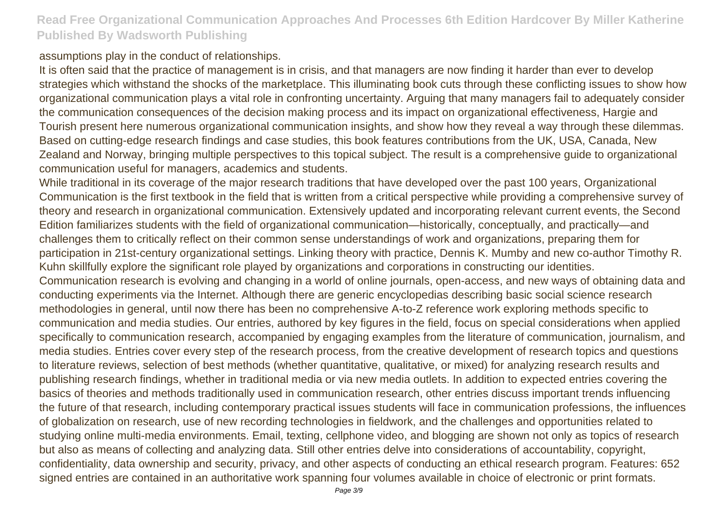assumptions play in the conduct of relationships.

It is often said that the practice of management is in crisis, and that managers are now finding it harder than ever to develop strategies which withstand the shocks of the marketplace. This illuminating book cuts through these conflicting issues to show how organizational communication plays a vital role in confronting uncertainty. Arguing that many managers fail to adequately consider the communication consequences of the decision making process and its impact on organizational effectiveness, Hargie and Tourish present here numerous organizational communication insights, and show how they reveal a way through these dilemmas. Based on cutting-edge research findings and case studies, this book features contributions from the UK, USA, Canada, New Zealand and Norway, bringing multiple perspectives to this topical subject. The result is a comprehensive guide to organizational communication useful for managers, academics and students.

While traditional in its coverage of the major research traditions that have developed over the past 100 years, Organizational Communication is the first textbook in the field that is written from a critical perspective while providing a comprehensive survey of theory and research in organizational communication. Extensively updated and incorporating relevant current events, the Second Edition familiarizes students with the field of organizational communication—historically, conceptually, and practically—and challenges them to critically reflect on their common sense understandings of work and organizations, preparing them for participation in 21st-century organizational settings. Linking theory with practice, Dennis K. Mumby and new co-author Timothy R. Kuhn skillfully explore the significant role played by organizations and corporations in constructing our identities. Communication research is evolving and changing in a world of online journals, open-access, and new ways of obtaining data and conducting experiments via the Internet. Although there are generic encyclopedias describing basic social science research methodologies in general, until now there has been no comprehensive A-to-Z reference work exploring methods specific to communication and media studies. Our entries, authored by key figures in the field, focus on special considerations when applied specifically to communication research, accompanied by engaging examples from the literature of communication, journalism, and media studies. Entries cover every step of the research process, from the creative development of research topics and questions to literature reviews, selection of best methods (whether quantitative, qualitative, or mixed) for analyzing research results and publishing research findings, whether in traditional media or via new media outlets. In addition to expected entries covering the basics of theories and methods traditionally used in communication research, other entries discuss important trends influencing the future of that research, including contemporary practical issues students will face in communication professions, the influences of globalization on research, use of new recording technologies in fieldwork, and the challenges and opportunities related to studying online multi-media environments. Email, texting, cellphone video, and blogging are shown not only as topics of research but also as means of collecting and analyzing data. Still other entries delve into considerations of accountability, copyright, confidentiality, data ownership and security, privacy, and other aspects of conducting an ethical research program. Features: 652 signed entries are contained in an authoritative work spanning four volumes available in choice of electronic or print formats.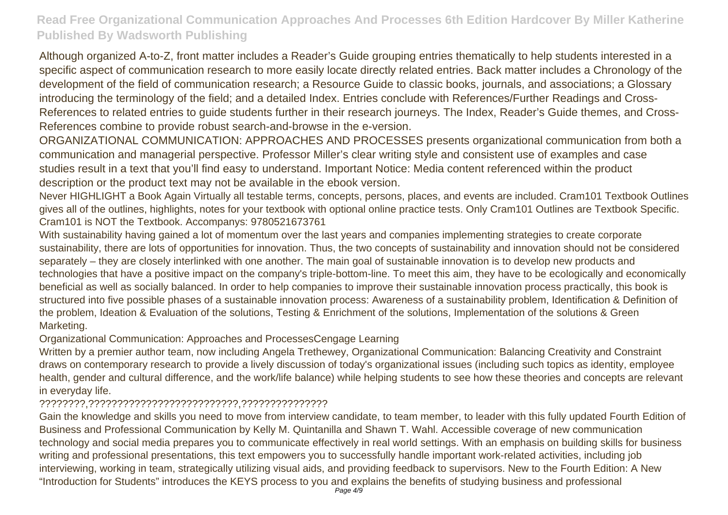Although organized A-to-Z, front matter includes a Reader's Guide grouping entries thematically to help students interested in a specific aspect of communication research to more easily locate directly related entries. Back matter includes a Chronology of the development of the field of communication research; a Resource Guide to classic books, journals, and associations; a Glossary introducing the terminology of the field; and a detailed Index. Entries conclude with References/Further Readings and Cross-References to related entries to guide students further in their research journeys. The Index, Reader's Guide themes, and Cross-References combine to provide robust search-and-browse in the e-version.

ORGANIZATIONAL COMMUNICATION: APPROACHES AND PROCESSES presents organizational communication from both a communication and managerial perspective. Professor Miller's clear writing style and consistent use of examples and case studies result in a text that you'll find easy to understand. Important Notice: Media content referenced within the product description or the product text may not be available in the ebook version.

Never HIGHLIGHT a Book Again Virtually all testable terms, concepts, persons, places, and events are included. Cram101 Textbook Outlines gives all of the outlines, highlights, notes for your textbook with optional online practice tests. Only Cram101 Outlines are Textbook Specific. Cram101 is NOT the Textbook. Accompanys: 9780521673761

With sustainability having gained a lot of momentum over the last years and companies implementing strategies to create corporate sustainability, there are lots of opportunities for innovation. Thus, the two concepts of sustainability and innovation should not be considered separately – they are closely interlinked with one another. The main goal of sustainable innovation is to develop new products and technologies that have a positive impact on the company's triple-bottom-line. To meet this aim, they have to be ecologically and economically beneficial as well as socially balanced. In order to help companies to improve their sustainable innovation process practically, this book is structured into five possible phases of a sustainable innovation process: Awareness of a sustainability problem, Identification & Definition of the problem, Ideation & Evaluation of the solutions, Testing & Enrichment of the solutions, Implementation of the solutions & Green Marketing.

#### Organizational Communication: Approaches and ProcessesCengage Learning

Written by a premier author team, now including Angela Trethewey, Organizational Communication: Balancing Creativity and Constraint draws on contemporary research to provide a lively discussion of today's organizational issues (including such topics as identity, employee health, gender and cultural difference, and the work/life balance) while helping students to see how these theories and concepts are relevant in everyday life.

#### ????????,??????????????????????????,???????????????

Gain the knowledge and skills you need to move from interview candidate, to team member, to leader with this fully updated Fourth Edition of Business and Professional Communication by Kelly M. Quintanilla and Shawn T. Wahl. Accessible coverage of new communication technology and social media prepares you to communicate effectively in real world settings. With an emphasis on building skills for business writing and professional presentations, this text empowers you to successfully handle important work-related activities, including job interviewing, working in team, strategically utilizing visual aids, and providing feedback to supervisors. New to the Fourth Edition: A New "Introduction for Students" introduces the KEYS process to you and explains the benefits of studying business and professional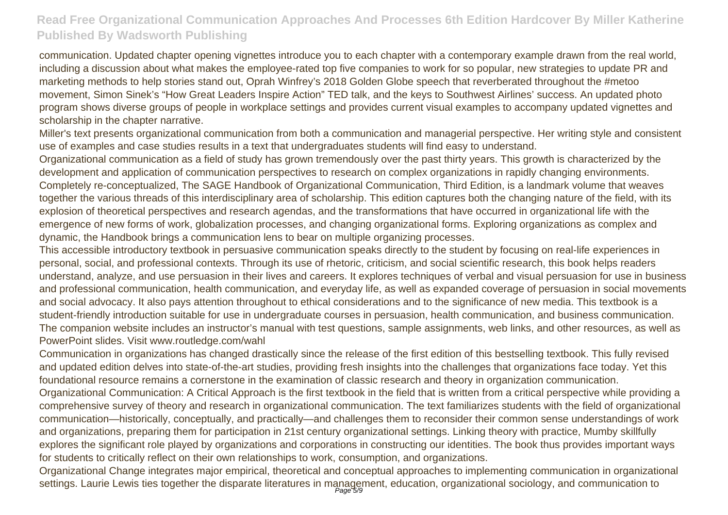communication. Updated chapter opening vignettes introduce you to each chapter with a contemporary example drawn from the real world, including a discussion about what makes the employee-rated top five companies to work for so popular, new strategies to update PR and marketing methods to help stories stand out, Oprah Winfrey's 2018 Golden Globe speech that reverberated throughout the #metoo movement, Simon Sinek's "How Great Leaders Inspire Action" TED talk, and the keys to Southwest Airlines' success. An updated photo program shows diverse groups of people in workplace settings and provides current visual examples to accompany updated vignettes and scholarship in the chapter narrative.

Miller's text presents organizational communication from both a communication and managerial perspective. Her writing style and consistent use of examples and case studies results in a text that undergraduates students will find easy to understand.

Organizational communication as a field of study has grown tremendously over the past thirty years. This growth is characterized by the development and application of communication perspectives to research on complex organizations in rapidly changing environments. Completely re-conceptualized, The SAGE Handbook of Organizational Communication, Third Edition, is a landmark volume that weaves together the various threads of this interdisciplinary area of scholarship. This edition captures both the changing nature of the field, with its explosion of theoretical perspectives and research agendas, and the transformations that have occurred in organizational life with the emergence of new forms of work, globalization processes, and changing organizational forms. Exploring organizations as complex and dynamic, the Handbook brings a communication lens to bear on multiple organizing processes.

This accessible introductory textbook in persuasive communication speaks directly to the student by focusing on real-life experiences in personal, social, and professional contexts. Through its use of rhetoric, criticism, and social scientific research, this book helps readers understand, analyze, and use persuasion in their lives and careers. It explores techniques of verbal and visual persuasion for use in business and professional communication, health communication, and everyday life, as well as expanded coverage of persuasion in social movements and social advocacy. It also pays attention throughout to ethical considerations and to the significance of new media. This textbook is a student-friendly introduction suitable for use in undergraduate courses in persuasion, health communication, and business communication. The companion website includes an instructor's manual with test questions, sample assignments, web links, and other resources, as well as PowerPoint slides. Visit www.routledge.com/wahl

Communication in organizations has changed drastically since the release of the first edition of this bestselling textbook. This fully revised and updated edition delves into state-of-the-art studies, providing fresh insights into the challenges that organizations face today. Yet this foundational resource remains a cornerstone in the examination of classic research and theory in organization communication.

Organizational Communication: A Critical Approach is the first textbook in the field that is written from a critical perspective while providing a comprehensive survey of theory and research in organizational communication. The text familiarizes students with the field of organizational communication—historically, conceptually, and practically—and challenges them to reconsider their common sense understandings of work and organizations, preparing them for participation in 21st century organizational settings. Linking theory with practice, Mumby skillfully explores the significant role played by organizations and corporations in constructing our identities. The book thus provides important ways for students to critically reflect on their own relationships to work, consumption, and organizations.

Organizational Change integrates major empirical, theoretical and conceptual approaches to implementing communication in organizational settings. Laurie Lewis ties together the disparate literatures in management, education, organizational sociology, and communication to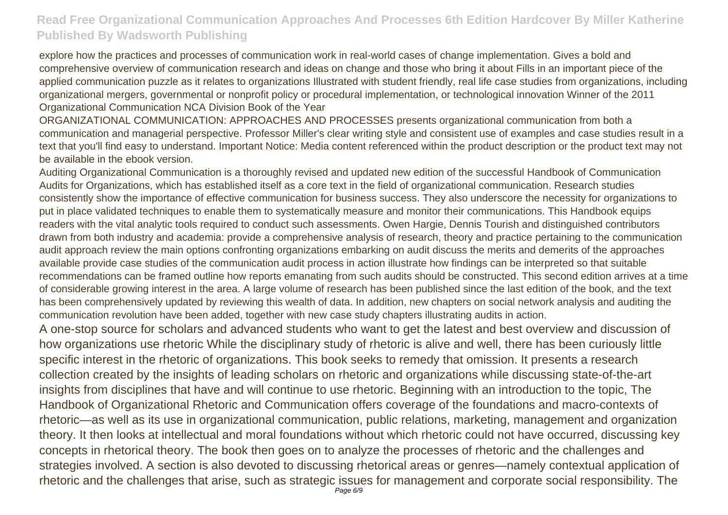explore how the practices and processes of communication work in real-world cases of change implementation. Gives a bold and comprehensive overview of communication research and ideas on change and those who bring it about Fills in an important piece of the applied communication puzzle as it relates to organizations Illustrated with student friendly, real life case studies from organizations, including organizational mergers, governmental or nonprofit policy or procedural implementation, or technological innovation Winner of the 2011 Organizational Communication NCA Division Book of the Year

ORGANIZATIONAL COMMUNICATION: APPROACHES AND PROCESSES presents organizational communication from both a communication and managerial perspective. Professor Miller's clear writing style and consistent use of examples and case studies result in a text that you'll find easy to understand. Important Notice: Media content referenced within the product description or the product text may not be available in the ebook version.

Auditing Organizational Communication is a thoroughly revised and updated new edition of the successful Handbook of Communication Audits for Organizations, which has established itself as a core text in the field of organizational communication. Research studies consistently show the importance of effective communication for business success. They also underscore the necessity for organizations to put in place validated techniques to enable them to systematically measure and monitor their communications. This Handbook equips readers with the vital analytic tools required to conduct such assessments. Owen Hargie, Dennis Tourish and distinguished contributors drawn from both industry and academia: provide a comprehensive analysis of research, theory and practice pertaining to the communication audit approach review the main options confronting organizations embarking on audit discuss the merits and demerits of the approaches available provide case studies of the communication audit process in action illustrate how findings can be interpreted so that suitable recommendations can be framed outline how reports emanating from such audits should be constructed. This second edition arrives at a time of considerable growing interest in the area. A large volume of research has been published since the last edition of the book, and the text has been comprehensively updated by reviewing this wealth of data. In addition, new chapters on social network analysis and auditing the communication revolution have been added, together with new case study chapters illustrating audits in action.

A one-stop source for scholars and advanced students who want to get the latest and best overview and discussion of how organizations use rhetoric While the disciplinary study of rhetoric is alive and well, there has been curiously little specific interest in the rhetoric of organizations. This book seeks to remedy that omission. It presents a research collection created by the insights of leading scholars on rhetoric and organizations while discussing state-of-the-art insights from disciplines that have and will continue to use rhetoric. Beginning with an introduction to the topic, The Handbook of Organizational Rhetoric and Communication offers coverage of the foundations and macro-contexts of rhetoric—as well as its use in organizational communication, public relations, marketing, management and organization theory. It then looks at intellectual and moral foundations without which rhetoric could not have occurred, discussing key concepts in rhetorical theory. The book then goes on to analyze the processes of rhetoric and the challenges and strategies involved. A section is also devoted to discussing rhetorical areas or genres—namely contextual application of rhetoric and the challenges that arise, such as strategic issues for management and corporate social responsibility. The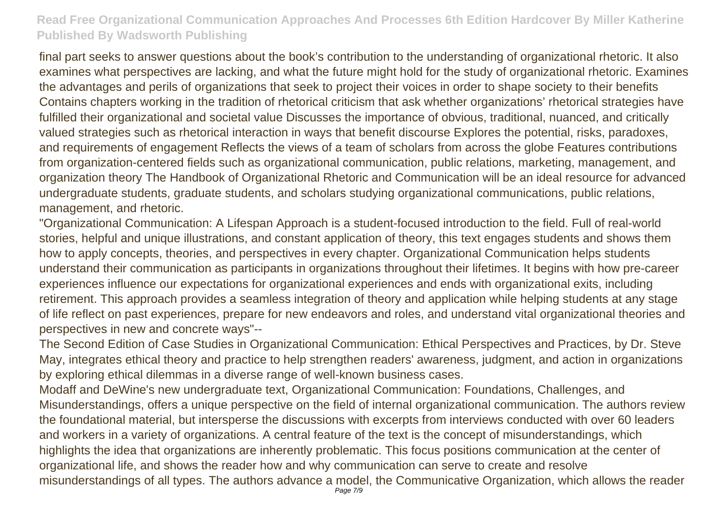final part seeks to answer questions about the book's contribution to the understanding of organizational rhetoric. It also examines what perspectives are lacking, and what the future might hold for the study of organizational rhetoric. Examines the advantages and perils of organizations that seek to project their voices in order to shape society to their benefits Contains chapters working in the tradition of rhetorical criticism that ask whether organizations' rhetorical strategies have fulfilled their organizational and societal value Discusses the importance of obvious, traditional, nuanced, and critically valued strategies such as rhetorical interaction in ways that benefit discourse Explores the potential, risks, paradoxes, and requirements of engagement Reflects the views of a team of scholars from across the globe Features contributions from organization-centered fields such as organizational communication, public relations, marketing, management, and organization theory The Handbook of Organizational Rhetoric and Communication will be an ideal resource for advanced undergraduate students, graduate students, and scholars studying organizational communications, public relations, management, and rhetoric.

"Organizational Communication: A Lifespan Approach is a student-focused introduction to the field. Full of real-world stories, helpful and unique illustrations, and constant application of theory, this text engages students and shows them how to apply concepts, theories, and perspectives in every chapter. Organizational Communication helps students understand their communication as participants in organizations throughout their lifetimes. It begins with how pre-career experiences influence our expectations for organizational experiences and ends with organizational exits, including retirement. This approach provides a seamless integration of theory and application while helping students at any stage of life reflect on past experiences, prepare for new endeavors and roles, and understand vital organizational theories and perspectives in new and concrete ways"--

The Second Edition of Case Studies in Organizational Communication: Ethical Perspectives and Practices, by Dr. Steve May, integrates ethical theory and practice to help strengthen readers' awareness, judgment, and action in organizations by exploring ethical dilemmas in a diverse range of well-known business cases.

Modaff and DeWine's new undergraduate text, Organizational Communication: Foundations, Challenges, and Misunderstandings, offers a unique perspective on the field of internal organizational communication. The authors review the foundational material, but intersperse the discussions with excerpts from interviews conducted with over 60 leaders and workers in a variety of organizations. A central feature of the text is the concept of misunderstandings, which highlights the idea that organizations are inherently problematic. This focus positions communication at the center of organizational life, and shows the reader how and why communication can serve to create and resolve misunderstandings of all types. The authors advance a model, the Communicative Organization, which allows the reader Page 7/9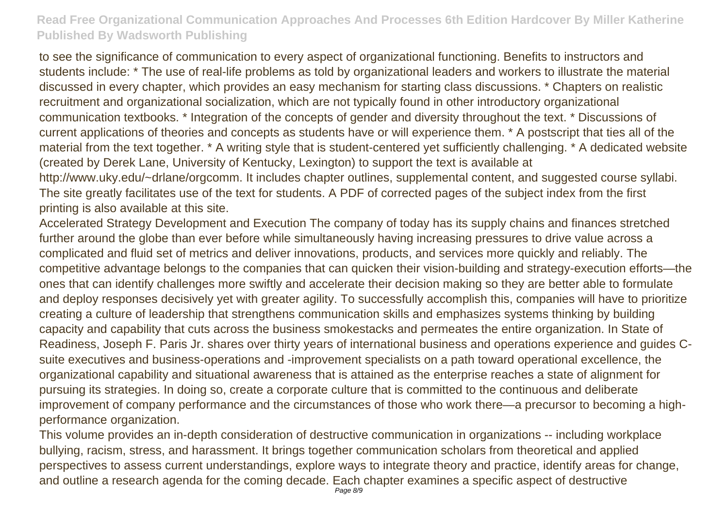to see the significance of communication to every aspect of organizational functioning. Benefits to instructors and students include: \* The use of real-life problems as told by organizational leaders and workers to illustrate the material discussed in every chapter, which provides an easy mechanism for starting class discussions. \* Chapters on realistic recruitment and organizational socialization, which are not typically found in other introductory organizational communication textbooks. \* Integration of the concepts of gender and diversity throughout the text. \* Discussions of current applications of theories and concepts as students have or will experience them. \* A postscript that ties all of the material from the text together. \* A writing style that is student-centered yet sufficiently challenging. \* A dedicated website (created by Derek Lane, University of Kentucky, Lexington) to support the text is available at http://www.uky.edu/~drlane/orgcomm. It includes chapter outlines, supplemental content, and suggested course syllabi.

The site greatly facilitates use of the text for students. A PDF of corrected pages of the subject index from the first printing is also available at this site.

Accelerated Strategy Development and Execution The company of today has its supply chains and finances stretched further around the globe than ever before while simultaneously having increasing pressures to drive value across a complicated and fluid set of metrics and deliver innovations, products, and services more quickly and reliably. The competitive advantage belongs to the companies that can quicken their vision-building and strategy-execution efforts—the ones that can identify challenges more swiftly and accelerate their decision making so they are better able to formulate and deploy responses decisively yet with greater agility. To successfully accomplish this, companies will have to prioritize creating a culture of leadership that strengthens communication skills and emphasizes systems thinking by building capacity and capability that cuts across the business smokestacks and permeates the entire organization. In State of Readiness, Joseph F. Paris Jr. shares over thirty years of international business and operations experience and guides Csuite executives and business-operations and -improvement specialists on a path toward operational excellence, the organizational capability and situational awareness that is attained as the enterprise reaches a state of alignment for pursuing its strategies. In doing so, create a corporate culture that is committed to the continuous and deliberate improvement of company performance and the circumstances of those who work there—a precursor to becoming a highperformance organization.

This volume provides an in-depth consideration of destructive communication in organizations -- including workplace bullying, racism, stress, and harassment. It brings together communication scholars from theoretical and applied perspectives to assess current understandings, explore ways to integrate theory and practice, identify areas for change, and outline a research agenda for the coming decade. Each chapter examines a specific aspect of destructive